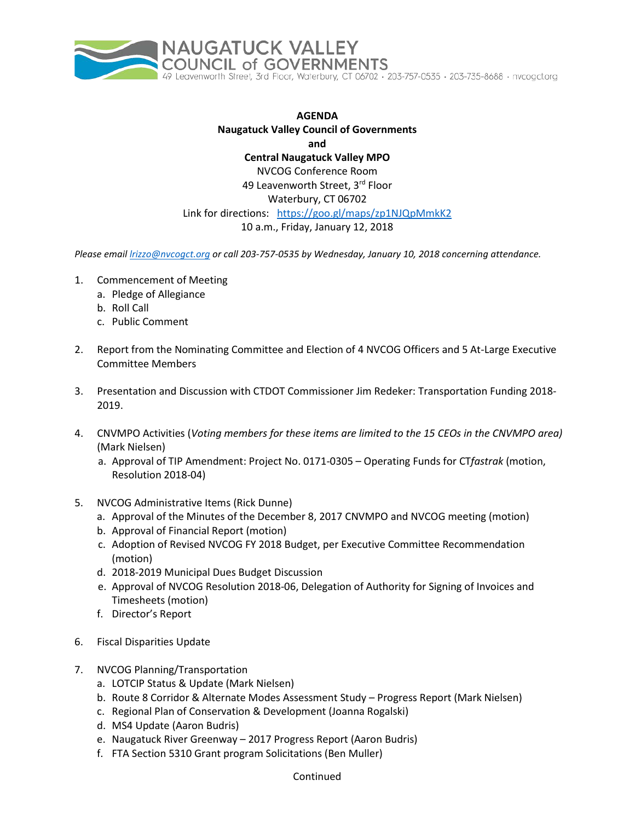

**AGENDA Naugatuck Valley Council of Governments and Central Naugatuck Valley MPO** NVCOG Conference Room 49 Leavenworth Street, 3rd Floor Waterbury, CT 06702 Link for directions: <https://goo.gl/maps/zp1NJQpMmkK2> 10 a.m., Friday, January 12, 2018

*Please email [lrizzo@nvcogct.org](mailto:lrizzo@nvcogct.org) or call 203-757-0535 by Wednesday, January 10, 2018 concerning attendance.*

- 1. Commencement of Meeting
	- a. Pledge of Allegiance
	- b. Roll Call
	- c. Public Comment
- 2. Report from the Nominating Committee and Election of 4 NVCOG Officers and 5 At-Large Executive Committee Members
- 3. Presentation and Discussion with CTDOT Commissioner Jim Redeker: Transportation Funding 2018- 2019.
- 4. CNVMPO Activities (*Voting members for these items are limited to the 15 CEOs in the CNVMPO area)* (Mark Nielsen)
	- a. Approval of TIP Amendment: Project No. 0171-0305 Operating Funds for CT*fastrak* (motion, Resolution 2018-04)
- 5. NVCOG Administrative Items (Rick Dunne)
	- a. Approval of the Minutes of the December 8, 2017 CNVMPO and NVCOG meeting (motion)
	- b. Approval of Financial Report (motion)
	- c. Adoption of Revised NVCOG FY 2018 Budget, per Executive Committee Recommendation (motion)
	- d. 2018-2019 Municipal Dues Budget Discussion
	- e. Approval of NVCOG Resolution 2018-06, Delegation of Authority for Signing of Invoices and Timesheets (motion)
	- f. Director's Report
- 6. Fiscal Disparities Update
- 7. NVCOG Planning/Transportation
	- a. LOTCIP Status & Update (Mark Nielsen)
	- b. Route 8 Corridor & Alternate Modes Assessment Study Progress Report (Mark Nielsen)
	- c. Regional Plan of Conservation & Development (Joanna Rogalski)
	- d. MS4 Update (Aaron Budris)
	- e. Naugatuck River Greenway 2017 Progress Report (Aaron Budris)
	- f. FTA Section 5310 Grant program Solicitations (Ben Muller)

## Continued